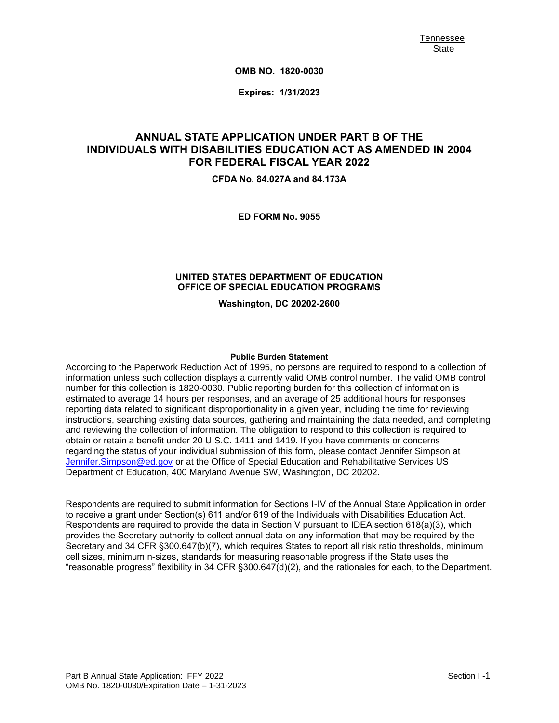**OMB NO. 1820-0030**

**Expires: 1/31/2023**

# **ANNUAL STATE APPLICATION UNDER PART B OF THE INDIVIDUALS WITH DISABILITIES EDUCATION ACT AS AMENDED IN 2004 FOR FEDERAL FISCAL YEAR 2022**

**CFDA No. 84.027A and 84.173A**

**ED FORM No. 9055**

#### **UNITED STATES DEPARTMENT OF EDUCATION OFFICE OF SPECIAL EDUCATION PROGRAMS**

**Washington, DC 20202-2600**

#### **Public Burden Statement**

According to the Paperwork Reduction Act of 1995, no persons are required to respond to a collection of information unless such collection displays a currently valid OMB control number. The valid OMB control number for this collection is 1820-0030. Public reporting burden for this collection of information is estimated to average 14 hours per responses, and an average of 25 additional hours for responses reporting data related to significant disproportionality in a given year, including the time for reviewing instructions, searching existing data sources, gathering and maintaining the data needed, and completing and reviewing the collection of information. The obligation to respond to this collection is required to obtain or retain a benefit under 20 U.S.C. 1411 and 1419. If you have comments or concerns regarding the status of your individual submission of this form, please contact Jennifer Simpson at [Jennifer.Simpson@ed.gov](mailto:Jennifer.Simpson@ed.gov) or at the Office of Special Education and Rehabilitative Services US Department of Education, 400 Maryland Avenue SW, Washington, DC 20202.

Respondents are required to submit information for Sections I-IV of the Annual State Application in order to receive a grant under Section(s) 611 and/or 619 of the Individuals with Disabilities Education Act. Respondents are required to provide the data in Section V pursuant to IDEA section 618(a)(3), which provides the Secretary authority to collect annual data on any information that may be required by the Secretary and 34 CFR §300.647(b)(7), which requires States to report all risk ratio thresholds, minimum cell sizes, minimum n-sizes, standards for measuring reasonable progress if the State uses the "reasonable progress" flexibility in 34 CFR §300.647(d)(2), and the rationales for each, to the Department.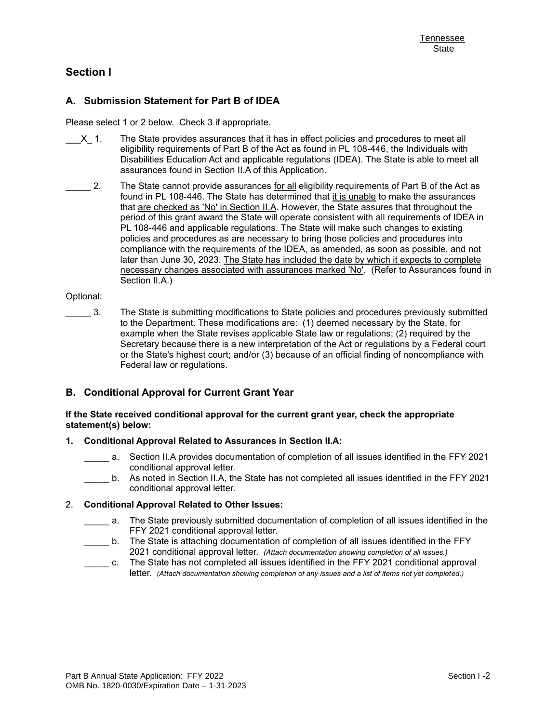## **Section I**

### **A. Submission Statement for Part B of IDEA**

Please select 1 or 2 below. Check 3 if appropriate.

- X 1. The State provides assurances that it has in effect policies and procedures to meet all eligibility requirements of Part B of the Act as found in PL 108-446, the Individuals with Disabilities Education Act and applicable regulations (IDEA). The State is able to meet all assurances found in Section II.A of this Application.
- 2. The State cannot provide assurances for all eligibility requirements of Part B of the Act as found in PL 108-446. The State has determined that it is unable to make the assurances that are checked as 'No' in Section II.A. However, the State assures that throughout the period of this grant award the State will operate consistent with all requirements of IDEA in PL 108-446 and applicable regulations. The State will make such changes to existing policies and procedures as are necessary to bring those policies and procedures into compliance with the requirements of the IDEA, as amended, as soon as possible, and not later than June 30, 2023. The State has included the date by which it expects to complete necessary changes associated with assurances marked 'No'. (Refer to Assurances found in Section II.A.)

#### Optional:

\_\_\_\_\_ 3. The State is submitting modifications to State policies and procedures previously submitted to the Department. These modifications are: (1) deemed necessary by the State, for example when the State revises applicable State law or regulations; (2) required by the Secretary because there is a new interpretation of the Act or regulations by a Federal court or the State's highest court; and/or (3) because of an official finding of noncompliance with Federal law or regulations.

### **B. Conditional Approval for Current Grant Year**

#### **If the State received conditional approval for the current grant year, check the appropriate statement(s) below:**

#### **1. Conditional Approval Related to Assurances in Section II.A:**

- a. Section II.A provides documentation of completion of all issues identified in the FFY 2021 conditional approval letter.
- \_\_\_\_\_ b. As noted in Section II.A, the State has not completed all issues identified in the FFY 2021 conditional approval letter.

### 2. **Conditional Approval Related to Other Issues:**

- \_\_\_\_\_ a. The State previously submitted documentation of completion of all issues identified in the FFY 2021 conditional approval letter.
- \_\_\_\_\_ b. The State is attaching documentation of completion of all issues identified in the FFY 2021 conditional approval letter. *(Attach documentation showing completion of all issues.)*
- \_\_\_\_\_ c. The State has not completed all issues identified in the FFY 2021 conditional approval letter. *(Attach documentation showing completion of any issues and a list of items not yet completed.)*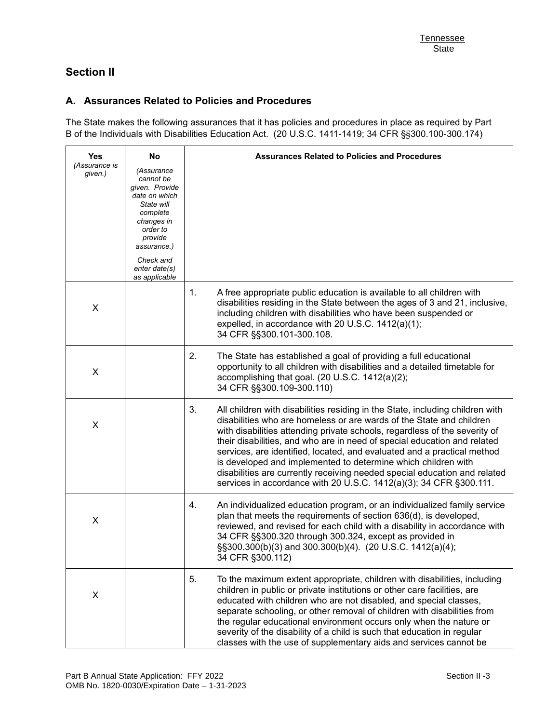# **Section II**

## **A. Assurances Related to Policies and Procedures**

The State makes the following assurances that it has policies and procedures in place as required by Part B of the Individuals with Disabilities Education Act. (20 U.S.C. 1411-1419; 34 CFR §§300.100-300.174)

| <b>Yes</b>               | No                                                                                                                                                                     | <b>Assurances Related to Policies and Procedures</b>                                                                                                                                                                                                                                                                                                                                                                                                                                                                                                                                                                 |
|--------------------------|------------------------------------------------------------------------------------------------------------------------------------------------------------------------|----------------------------------------------------------------------------------------------------------------------------------------------------------------------------------------------------------------------------------------------------------------------------------------------------------------------------------------------------------------------------------------------------------------------------------------------------------------------------------------------------------------------------------------------------------------------------------------------------------------------|
| (Assurance is<br>given.) | (Assurance<br>cannot be<br>given. Provide<br>date on which<br>State will<br>complete<br>changes in<br>order to<br>provide<br>assurance.)<br>Check and<br>enter date(s) |                                                                                                                                                                                                                                                                                                                                                                                                                                                                                                                                                                                                                      |
|                          | as applicable                                                                                                                                                          | 1.<br>A free appropriate public education is available to all children with                                                                                                                                                                                                                                                                                                                                                                                                                                                                                                                                          |
| X                        |                                                                                                                                                                        | disabilities residing in the State between the ages of 3 and 21, inclusive,<br>including children with disabilities who have been suspended or<br>expelled, in accordance with 20 U.S.C. 1412(a)(1);<br>34 CFR §§300.101-300.108.                                                                                                                                                                                                                                                                                                                                                                                    |
| X                        |                                                                                                                                                                        | 2.<br>The State has established a goal of providing a full educational<br>opportunity to all children with disabilities and a detailed timetable for<br>accomplishing that goal. (20 U.S.C. 1412(a)(2);<br>34 CFR §§300.109-300.110)                                                                                                                                                                                                                                                                                                                                                                                 |
| X                        |                                                                                                                                                                        | 3.<br>All children with disabilities residing in the State, including children with<br>disabilities who are homeless or are wards of the State and children<br>with disabilities attending private schools, regardless of the severity of<br>their disabilities, and who are in need of special education and related<br>services, are identified, located, and evaluated and a practical method<br>is developed and implemented to determine which children with<br>disabilities are currently receiving needed special education and related<br>services in accordance with 20 U.S.C. 1412(a)(3); 34 CFR §300.111. |
| X                        |                                                                                                                                                                        | An individualized education program, or an individualized family service<br>4.<br>plan that meets the requirements of section 636(d), is developed,<br>reviewed, and revised for each child with a disability in accordance with<br>34 CFR §§300.320 through 300.324, except as provided in<br>§§300.300(b)(3) and 300.300(b)(4). (20 U.S.C. 1412(a)(4);<br>34 CFR §300.112)                                                                                                                                                                                                                                         |
| X                        |                                                                                                                                                                        | 5.<br>To the maximum extent appropriate, children with disabilities, including<br>children in public or private institutions or other care facilities, are<br>educated with children who are not disabled, and special classes,<br>separate schooling, or other removal of children with disabilities from<br>the regular educational environment occurs only when the nature or<br>severity of the disability of a child is such that education in regular<br>classes with the use of supplementary aids and services cannot be                                                                                     |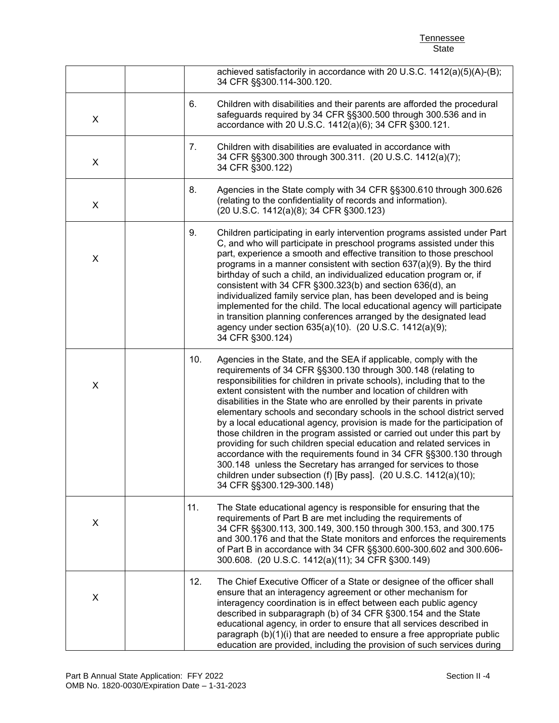**Tennessee** State

|   |     | achieved satisfactorily in accordance with 20 U.S.C. 1412(a)(5)(A)-(B);<br>34 CFR §§300.114-300.120.                                                                                                                                                                                                                                                                                                                                                                                                                                                                                                                                                                                                                                                                                                                                                                                                              |
|---|-----|-------------------------------------------------------------------------------------------------------------------------------------------------------------------------------------------------------------------------------------------------------------------------------------------------------------------------------------------------------------------------------------------------------------------------------------------------------------------------------------------------------------------------------------------------------------------------------------------------------------------------------------------------------------------------------------------------------------------------------------------------------------------------------------------------------------------------------------------------------------------------------------------------------------------|
| X | 6.  | Children with disabilities and their parents are afforded the procedural<br>safeguards required by 34 CFR §§300.500 through 300.536 and in<br>accordance with 20 U.S.C. 1412(a)(6); 34 CFR §300.121.                                                                                                                                                                                                                                                                                                                                                                                                                                                                                                                                                                                                                                                                                                              |
| X | 7.  | Children with disabilities are evaluated in accordance with<br>34 CFR §§300.300 through 300.311. (20 U.S.C. 1412(a)(7);<br>34 CFR §300.122)                                                                                                                                                                                                                                                                                                                                                                                                                                                                                                                                                                                                                                                                                                                                                                       |
| X | 8.  | Agencies in the State comply with 34 CFR §§300.610 through 300.626<br>(relating to the confidentiality of records and information).<br>(20 U.S.C. 1412(a)(8); 34 CFR §300.123)                                                                                                                                                                                                                                                                                                                                                                                                                                                                                                                                                                                                                                                                                                                                    |
| X | 9.  | Children participating in early intervention programs assisted under Part<br>C, and who will participate in preschool programs assisted under this<br>part, experience a smooth and effective transition to those preschool<br>programs in a manner consistent with section $637(a)(9)$ . By the third<br>birthday of such a child, an individualized education program or, if<br>consistent with 34 CFR §300.323(b) and section 636(d), an<br>individualized family service plan, has been developed and is being<br>implemented for the child. The local educational agency will participate<br>in transition planning conferences arranged by the designated lead<br>agency under section 635(a)(10). (20 U.S.C. 1412(a)(9);<br>34 CFR §300.124)                                                                                                                                                               |
| X | 10. | Agencies in the State, and the SEA if applicable, comply with the<br>requirements of 34 CFR §§300.130 through 300.148 (relating to<br>responsibilities for children in private schools), including that to the<br>extent consistent with the number and location of children with<br>disabilities in the State who are enrolled by their parents in private<br>elementary schools and secondary schools in the school district served<br>by a local educational agency, provision is made for the participation of<br>those children in the program assisted or carried out under this part by<br>providing for such children special education and related services in<br>accordance with the requirements found in 34 CFR §§300.130 through<br>300.148 unless the Secretary has arranged for services to those<br>children under subsection (f) [By pass]. (20 U.S.C. 1412(a)(10);<br>34 CFR §§300.129-300.148) |
| X | 11. | The State educational agency is responsible for ensuring that the<br>requirements of Part B are met including the requirements of<br>34 CFR §§300.113, 300.149, 300.150 through 300.153, and 300.175<br>and 300.176 and that the State monitors and enforces the requirements<br>of Part B in accordance with 34 CFR §§300.600-300.602 and 300.606-<br>300.608. (20 U.S.C. 1412(a)(11); 34 CFR §300.149)                                                                                                                                                                                                                                                                                                                                                                                                                                                                                                          |
| X | 12. | The Chief Executive Officer of a State or designee of the officer shall<br>ensure that an interagency agreement or other mechanism for<br>interagency coordination is in effect between each public agency<br>described in subparagraph (b) of 34 CFR §300.154 and the State<br>educational agency, in order to ensure that all services described in<br>paragraph (b)(1)(i) that are needed to ensure a free appropriate public<br>education are provided, including the provision of such services during                                                                                                                                                                                                                                                                                                                                                                                                       |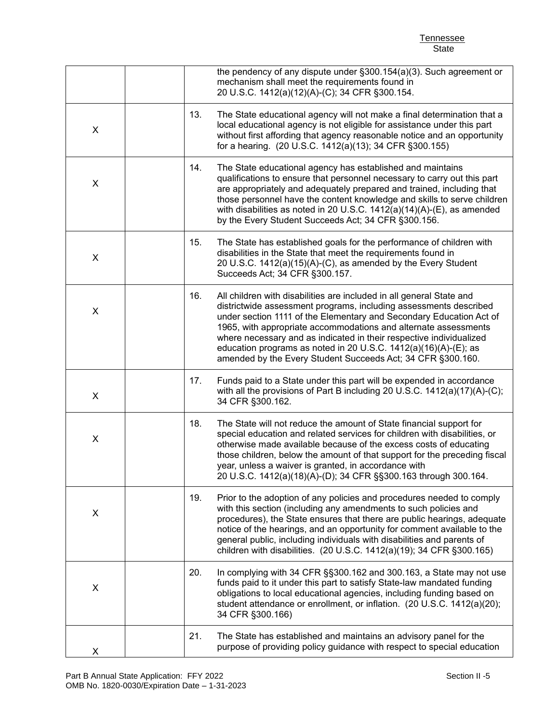Tennessee State

|   |     | the pendency of any dispute under §300.154(a)(3). Such agreement or<br>mechanism shall meet the requirements found in<br>20 U.S.C. 1412(a)(12)(A)-(C); 34 CFR §300.154.                                                                                                                                                                                                                                                                                                                      |
|---|-----|----------------------------------------------------------------------------------------------------------------------------------------------------------------------------------------------------------------------------------------------------------------------------------------------------------------------------------------------------------------------------------------------------------------------------------------------------------------------------------------------|
| X | 13. | The State educational agency will not make a final determination that a<br>local educational agency is not eligible for assistance under this part<br>without first affording that agency reasonable notice and an opportunity<br>for a hearing. (20 U.S.C. 1412(a)(13); 34 CFR §300.155)                                                                                                                                                                                                    |
| X | 14. | The State educational agency has established and maintains<br>qualifications to ensure that personnel necessary to carry out this part<br>are appropriately and adequately prepared and trained, including that<br>those personnel have the content knowledge and skills to serve children<br>with disabilities as noted in 20 U.S.C. $1412(a)(14)(A)$ -(E), as amended<br>by the Every Student Succeeds Act; 34 CFR §300.156.                                                               |
| X | 15. | The State has established goals for the performance of children with<br>disabilities in the State that meet the requirements found in<br>20 U.S.C. 1412(a)(15)(A)-(C), as amended by the Every Student<br>Succeeds Act; 34 CFR §300.157.                                                                                                                                                                                                                                                     |
| X | 16. | All children with disabilities are included in all general State and<br>districtwide assessment programs, including assessments described<br>under section 1111 of the Elementary and Secondary Education Act of<br>1965, with appropriate accommodations and alternate assessments<br>where necessary and as indicated in their respective individualized<br>education programs as noted in 20 U.S.C. 1412(a)(16)(A)-(E); as<br>amended by the Every Student Succeeds Act; 34 CFR §300.160. |
| X | 17. | Funds paid to a State under this part will be expended in accordance<br>with all the provisions of Part B including 20 U.S.C. 1412(a)(17)(A)-(C);<br>34 CFR §300.162.                                                                                                                                                                                                                                                                                                                        |
| X | 18. | The State will not reduce the amount of State financial support for<br>special education and related services for children with disabilities, or<br>otherwise made available because of the excess costs of educating<br>those children, below the amount of that support for the preceding fiscal<br>year, unless a waiver is granted, in accordance with<br>20 U.S.C. 1412(a)(18)(A)-(D); 34 CFR §§300.163 through 300.164.                                                                |
| X | 19. | Prior to the adoption of any policies and procedures needed to comply<br>with this section (including any amendments to such policies and<br>procedures), the State ensures that there are public hearings, adequate<br>notice of the hearings, and an opportunity for comment available to the<br>general public, including individuals with disabilities and parents of<br>children with disabilities. (20 U.S.C. 1412(a)(19); 34 CFR §300.165)                                            |
| X | 20. | In complying with 34 CFR §§300.162 and 300.163, a State may not use<br>funds paid to it under this part to satisfy State-law mandated funding<br>obligations to local educational agencies, including funding based on<br>student attendance or enrollment, or inflation. (20 U.S.C. 1412(a)(20);<br>34 CFR §300.166)                                                                                                                                                                        |
| X | 21. | The State has established and maintains an advisory panel for the<br>purpose of providing policy guidance with respect to special education                                                                                                                                                                                                                                                                                                                                                  |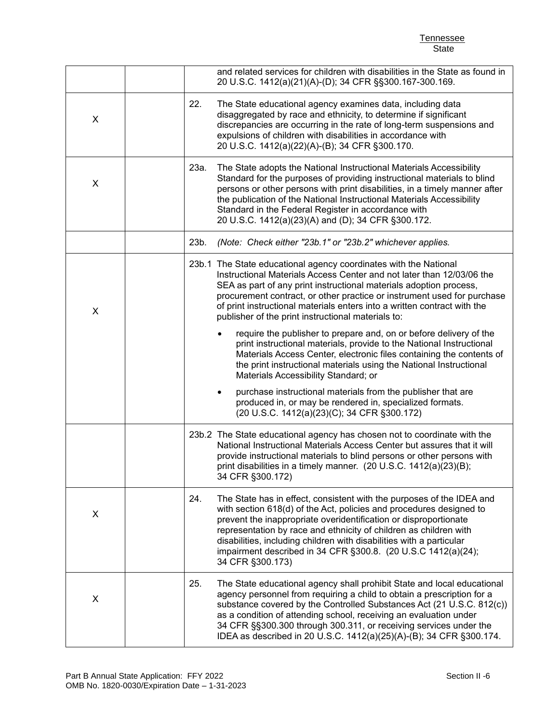Tennessee State

|   | and related services for children with disabilities in the State as found in<br>20 U.S.C. 1412(a)(21)(A)-(D); 34 CFR §§300.167-300.169.                                                                                                                                                                                                                                                                                                                   |
|---|-----------------------------------------------------------------------------------------------------------------------------------------------------------------------------------------------------------------------------------------------------------------------------------------------------------------------------------------------------------------------------------------------------------------------------------------------------------|
| X | 22.<br>The State educational agency examines data, including data<br>disaggregated by race and ethnicity, to determine if significant<br>discrepancies are occurring in the rate of long-term suspensions and<br>expulsions of children with disabilities in accordance with<br>20 U.S.C. 1412(a)(22)(A)-(B); 34 CFR §300.170.                                                                                                                            |
| X | 23a.<br>The State adopts the National Instructional Materials Accessibility<br>Standard for the purposes of providing instructional materials to blind<br>persons or other persons with print disabilities, in a timely manner after<br>the publication of the National Instructional Materials Accessibility<br>Standard in the Federal Register in accordance with<br>20 U.S.C. 1412(a)(23)(A) and (D); 34 CFR §300.172.                                |
|   | (Note: Check either "23b.1" or "23b.2" whichever applies.<br>23b.                                                                                                                                                                                                                                                                                                                                                                                         |
| X | 23b.1 The State educational agency coordinates with the National<br>Instructional Materials Access Center and not later than 12/03/06 the<br>SEA as part of any print instructional materials adoption process,<br>procurement contract, or other practice or instrument used for purchase<br>of print instructional materials enters into a written contract with the<br>publisher of the print instructional materials to:                              |
|   | require the publisher to prepare and, on or before delivery of the<br>print instructional materials, provide to the National Instructional<br>Materials Access Center, electronic files containing the contents of<br>the print instructional materials using the National Instructional<br>Materials Accessibility Standard; or                                                                                                                          |
|   | purchase instructional materials from the publisher that are<br>produced in, or may be rendered in, specialized formats.<br>(20 U.S.C. 1412(a)(23)(C); 34 CFR §300.172)                                                                                                                                                                                                                                                                                   |
|   | 23b.2 The State educational agency has chosen not to coordinate with the<br>National Instructional Materials Access Center but assures that it will<br>provide instructional materials to blind persons or other persons with<br>print disabilities in a timely manner. (20 U.S.C. 1412(a)(23)(B);<br>34 CFR §300.172)                                                                                                                                    |
| X | 24.<br>The State has in effect, consistent with the purposes of the IDEA and<br>with section 618(d) of the Act, policies and procedures designed to<br>prevent the inappropriate overidentification or disproportionate<br>representation by race and ethnicity of children as children with<br>disabilities, including children with disabilities with a particular<br>impairment described in 34 CFR §300.8. (20 U.S.C 1412(a)(24);<br>34 CFR §300.173) |
| X | 25.<br>The State educational agency shall prohibit State and local educational<br>agency personnel from requiring a child to obtain a prescription for a<br>substance covered by the Controlled Substances Act (21 U.S.C. 812(c))<br>as a condition of attending school, receiving an evaluation under<br>34 CFR §§300.300 through 300.311, or receiving services under the<br>IDEA as described in 20 U.S.C. 1412(a)(25)(A)-(B); 34 CFR §300.174.        |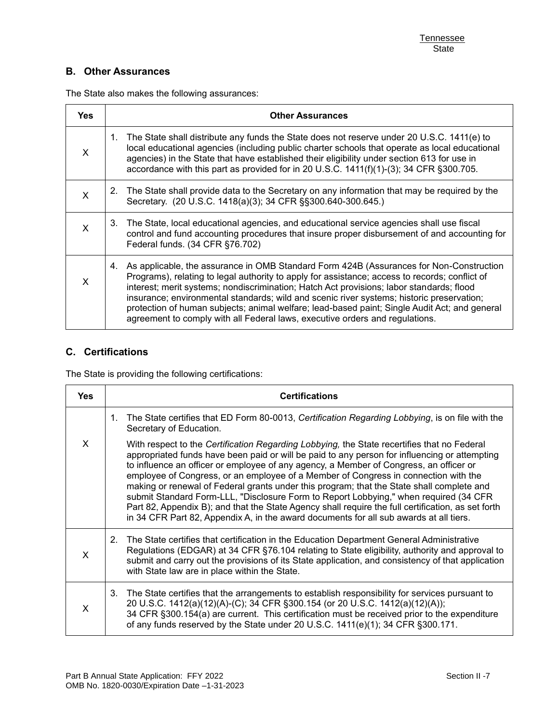## **B. Other Assurances**

The State also makes the following assurances:

| <b>Yes</b> | <b>Other Assurances</b>                                                                                                                                                                                                                                                                                                                                                                                                                                                                                                                                                |
|------------|------------------------------------------------------------------------------------------------------------------------------------------------------------------------------------------------------------------------------------------------------------------------------------------------------------------------------------------------------------------------------------------------------------------------------------------------------------------------------------------------------------------------------------------------------------------------|
| X          | 1. The State shall distribute any funds the State does not reserve under 20 U.S.C. 1411(e) to<br>local educational agencies (including public charter schools that operate as local educational<br>agencies) in the State that have established their eligibility under section 613 for use in<br>accordance with this part as provided for in 20 U.S.C. 1411(f)(1)-(3); 34 CFR § 300.705.                                                                                                                                                                             |
| X          | The State shall provide data to the Secretary on any information that may be required by the<br>2.<br>Secretary. (20 U.S.C. 1418(a)(3); 34 CFR §§300.640-300.645.)                                                                                                                                                                                                                                                                                                                                                                                                     |
| X          | 3. The State, local educational agencies, and educational service agencies shall use fiscal<br>control and fund accounting procedures that insure proper disbursement of and accounting for<br>Federal funds. (34 CFR §76.702)                                                                                                                                                                                                                                                                                                                                         |
| X          | 4. As applicable, the assurance in OMB Standard Form 424B (Assurances for Non-Construction<br>Programs), relating to legal authority to apply for assistance; access to records; conflict of<br>interest; merit systems; nondiscrimination; Hatch Act provisions; labor standards; flood<br>insurance; environmental standards; wild and scenic river systems; historic preservation;<br>protection of human subjects; animal welfare; lead-based paint; Single Audit Act; and general<br>agreement to comply with all Federal laws, executive orders and regulations. |

### **C. Certifications**

The State is providing the following certifications:

| <b>Yes</b> | <b>Certifications</b>                                                                                                                                                                                                                                                                                                                                                                                                                                                                                                                                                                                                                                                                                                                                               |
|------------|---------------------------------------------------------------------------------------------------------------------------------------------------------------------------------------------------------------------------------------------------------------------------------------------------------------------------------------------------------------------------------------------------------------------------------------------------------------------------------------------------------------------------------------------------------------------------------------------------------------------------------------------------------------------------------------------------------------------------------------------------------------------|
|            | The State certifies that ED Form 80-0013, Certification Regarding Lobbying, is on file with the<br>1.<br>Secretary of Education.                                                                                                                                                                                                                                                                                                                                                                                                                                                                                                                                                                                                                                    |
| X          | With respect to the Certification Regarding Lobbying, the State recertifies that no Federal<br>appropriated funds have been paid or will be paid to any person for influencing or attempting<br>to influence an officer or employee of any agency, a Member of Congress, an officer or<br>employee of Congress, or an employee of a Member of Congress in connection with the<br>making or renewal of Federal grants under this program; that the State shall complete and<br>submit Standard Form-LLL, "Disclosure Form to Report Lobbying," when required (34 CFR<br>Part 82, Appendix B); and that the State Agency shall require the full certification, as set forth<br>in 34 CFR Part 82, Appendix A, in the award documents for all sub awards at all tiers. |
| $\times$   | The State certifies that certification in the Education Department General Administrative<br>2.<br>Regulations (EDGAR) at 34 CFR §76.104 relating to State eligibility, authority and approval to<br>submit and carry out the provisions of its State application, and consistency of that application<br>with State law are in place within the State.                                                                                                                                                                                                                                                                                                                                                                                                             |
| $\times$   | The State certifies that the arrangements to establish responsibility for services pursuant to<br>3.<br>20 U.S.C. 1412(a)(12)(A)-(C); 34 CFR §300.154 (or 20 U.S.C. 1412(a)(12)(A));<br>34 CFR §300.154(a) are current. This certification must be received prior to the expenditure<br>of any funds reserved by the State under 20 U.S.C. 1411(e)(1); 34 CFR §300.171.                                                                                                                                                                                                                                                                                                                                                                                             |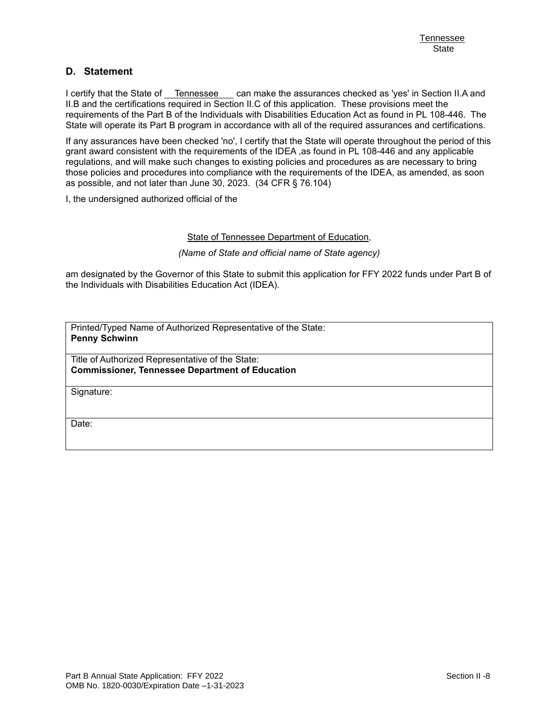### **D. Statement**

I certify that the State of Tennessee can make the assurances checked as 'yes' in Section II.A and II.B and the certifications required in Section II.C of this application. These provisions meet the requirements of the Part B of the Individuals with Disabilities Education Act as found in PL 108-446. The State will operate its Part B program in accordance with all of the required assurances and certifications.

If any assurances have been checked 'no', I certify that the State will operate throughout the period of this grant award consistent with the requirements of the IDEA ,as found in PL 108-446 and any applicable regulations, and will make such changes to existing policies and procedures as are necessary to bring those policies and procedures into compliance with the requirements of the IDEA, as amended, as soon as possible, and not later than June 30, 2023. (34 CFR § 76.104)

I, the undersigned authorized official of the

#### State of Tennessee Department of Education,

*(Name of State and official name of State agency)*

am designated by the Governor of this State to submit this application for FFY 2022 funds under Part B of the Individuals with Disabilities Education Act (IDEA).

Printed/Typed Name of Authorized Representative of the State: **Penny Schwinn** 

Title of Authorized Representative of the State: **Commissioner, Tennessee Department of Education** 

Signature:

Date: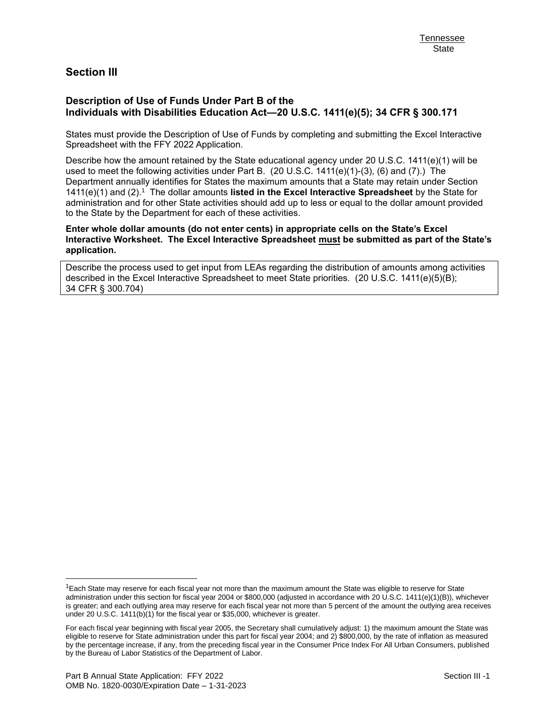## **Section III**

### **Description of Use of Funds Under Part B of the Individuals with Disabilities Education Act—20 U.S.C. 1411(e)(5); 34 CFR § 300.171**

States must provide the Description of Use of Funds by completing and submitting the Excel Interactive Spreadsheet with the FFY 2022 Application.

Describe how the amount retained by the State educational agency under 20 U.S.C. 1411(e)(1) will be used to meet the following activities under Part B. (20 U.S.C. 1411(e)(1)-(3), (6) and (7).) The Department annually identifies for States the maximum amounts that a State may retain under Section 1411(e)(1) and (2).<sup>1</sup> The dollar amounts listed in the Excel Interactive Spreadsheet by the State for administration and for other State activities should add up to less or equal to the dollar amount provided to the State by the Department for each of these activities.

**Enter whole dollar amounts (do not enter cents) in appropriate cells on the State's Excel Interactive Worksheet. The Excel Interactive Spreadsheet must be submitted as part of the State's application.**

Describe the process used to get input from LEAs regarding the distribution of amounts among activities described in the Excel Interactive Spreadsheet to meet State priorities. (20 U.S.C. 1411(e)(5)(B); 34 CFR § 300.704)

 $1$ Each State may reserve for each fiscal year not more than the maximum amount the State was eligible to reserve for State administration under this section for fiscal year 2004 or \$800,000 (adjusted in accordance with 20 U.S.C. 1411(e)(1)(B)), whichever is greater; and each outlying area may reserve for each fiscal year not more than 5 percent of the amount the outlying area receives under 20 U.S.C. 1411(b)(1) for the fiscal year or \$35,000, whichever is greater.

For each fiscal year beginning with fiscal year 2005, the Secretary shall cumulatively adjust: 1) the maximum amount the State was eligible to reserve for State administration under this part for fiscal year 2004; and 2) \$800,000, by the rate of inflation as measured by the percentage increase, if any, from the preceding fiscal year in the Consumer Price Index For All Urban Consumers, published by the Bureau of Labor Statistics of the Department of Labor.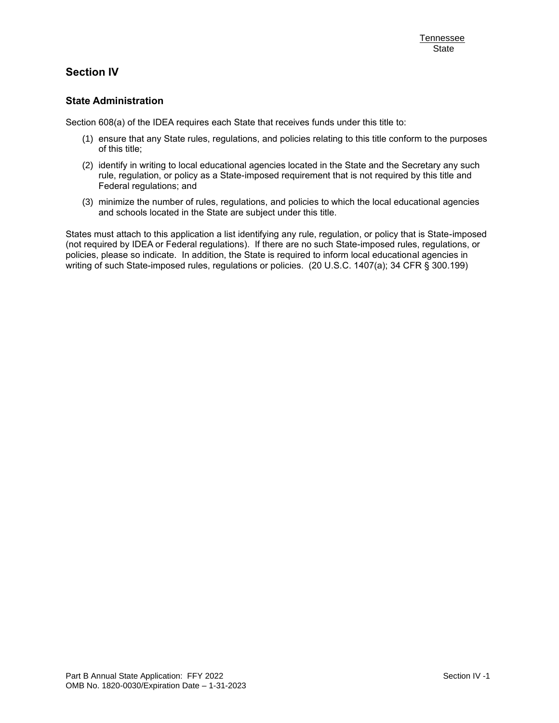# **Section IV**

### **State Administration**

Section 608(a) of the IDEA requires each State that receives funds under this title to:

- (1) ensure that any State rules, regulations, and policies relating to this title conform to the purposes of this title;
- (2) identify in writing to local educational agencies located in the State and the Secretary any such rule, regulation, or policy as a State-imposed requirement that is not required by this title and Federal regulations; and
- (3) minimize the number of rules, regulations, and policies to which the local educational agencies and schools located in the State are subject under this title.

States must attach to this application a list identifying any rule, regulation, or policy that is State-imposed (not required by IDEA or Federal regulations). If there are no such State-imposed rules, regulations, or policies, please so indicate. In addition, the State is required to inform local educational agencies in writing of such State-imposed rules, regulations or policies. (20 U.S.C. 1407(a); 34 CFR § 300.199)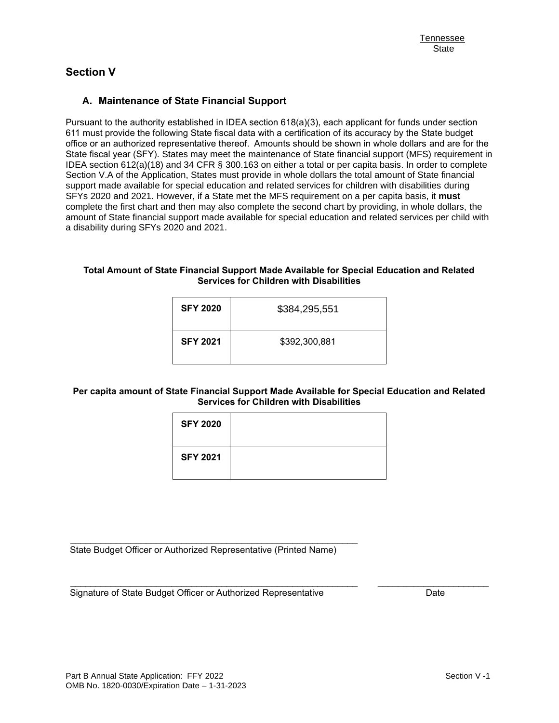# **Section V**

### **A. Maintenance of State Financial Support**

Pursuant to the authority established in IDEA section 618(a)(3), each applicant for funds under section 611 must provide the following State fiscal data with a certification of its accuracy by the State budget office or an authorized representative thereof. Amounts should be shown in whole dollars and are for the State fiscal year (SFY). States may meet the maintenance of State financial support (MFS) requirement in IDEA section 612(a)(18) and 34 CFR § 300.163 on either a total or per capita basis. In order to complete Section V.A of the Application, States must provide in whole dollars the total amount of State financial support made available for special education and related services for children with disabilities during SFYs 2020 and 2021. However, if a State met the MFS requirement on a per capita basis, it **must** complete the first chart and then may also complete the second chart by providing, in whole dollars, the amount of State financial support made available for special education and related services per child with a disability during SFYs 2020 and 2021.

#### **Total Amount of State Financial Support Made Available for Special Education and Related Services for Children with Disabilities**

| <b>SFY 2020</b> | \$384,295,551 |
|-----------------|---------------|
| <b>SFY 2021</b> | \$392,300,881 |

#### **Per capita amount of State Financial Support Made Available for Special Education and Related Services for Children with Disabilities**

| <b>SFY 2020</b> |  |
|-----------------|--|
| <b>SFY 2021</b> |  |

\_\_\_\_\_\_\_\_\_\_\_\_\_\_\_\_\_\_\_\_\_\_\_\_\_\_\_\_\_\_\_\_\_\_\_\_\_\_\_\_\_\_\_\_\_\_\_\_\_\_\_\_\_\_\_\_\_ \_\_\_\_\_\_\_\_\_\_\_\_\_\_\_\_\_\_\_\_\_\_

State Budget Officer or Authorized Representative (Printed Name)

\_\_\_\_\_\_\_\_\_\_\_\_\_\_\_\_\_\_\_\_\_\_\_\_\_\_\_\_\_\_\_\_\_\_\_\_\_\_\_\_\_\_\_\_\_\_\_\_\_\_\_\_\_\_\_\_\_

Signature of State Budget Officer or Authorized Representative **Date** Date